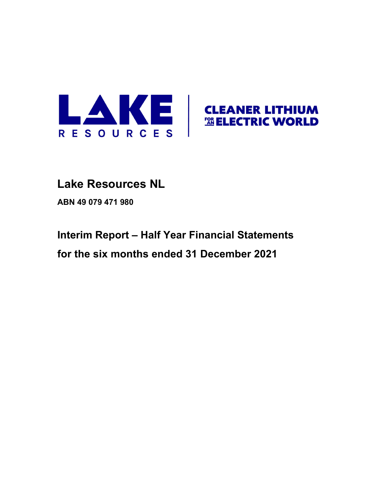

# **Lake Resources NL**

**ABN 49 079 471 980**

# **Interim Report – Half Year Financial Statements for the six months ended 31 December 2021**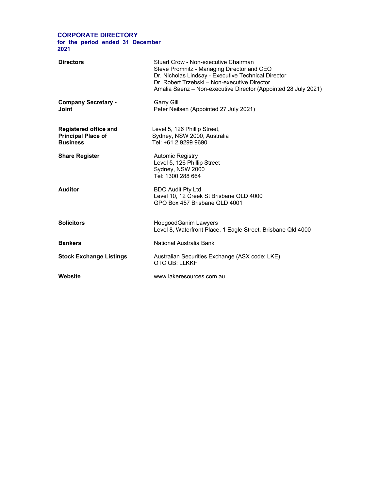#### **CORPORATE DIRECTORY for the period ended 31 December 2021**

| <b>Directors</b>                                                             | Stuart Crow - Non-executive Chairman<br>Steve Promnitz - Managing Director and CEO<br>Dr. Nicholas Lindsay - Executive Technical Director<br>Dr. Robert Trzebski – Non-executive Director<br>Amalia Saenz - Non-executive Director (Appointed 28 July 2021) |
|------------------------------------------------------------------------------|-------------------------------------------------------------------------------------------------------------------------------------------------------------------------------------------------------------------------------------------------------------|
| <b>Company Secretary -</b><br>Joint                                          | <b>Garry Gill</b><br>Peter Neilsen (Appointed 27 July 2021)                                                                                                                                                                                                 |
| <b>Registered office and</b><br><b>Principal Place of</b><br><b>Business</b> | Level 5, 126 Phillip Street,<br>Sydney, NSW 2000, Australia<br>Tel: +61 2 9299 9690                                                                                                                                                                         |
| <b>Share Register</b>                                                        | <b>Automic Registry</b><br>Level 5, 126 Phillip Street<br>Sydney, NSW 2000<br>Tel: 1300 288 664                                                                                                                                                             |
| <b>Auditor</b>                                                               | <b>BDO Audit Pty Ltd</b><br>Level 10, 12 Creek St Brisbane QLD 4000<br>GPO Box 457 Brisbane QLD 4001                                                                                                                                                        |
| <b>Solicitors</b>                                                            | HopgoodGanim Lawyers<br>Level 8, Waterfront Place, 1 Eagle Street, Brisbane Qld 4000                                                                                                                                                                        |
| <b>Bankers</b>                                                               | National Australia Bank                                                                                                                                                                                                                                     |
| <b>Stock Exchange Listings</b>                                               | Australian Securities Exchange (ASX code: LKE)<br>OTC OB: LLKKF                                                                                                                                                                                             |
| Website                                                                      | www.lakeresources.com.au                                                                                                                                                                                                                                    |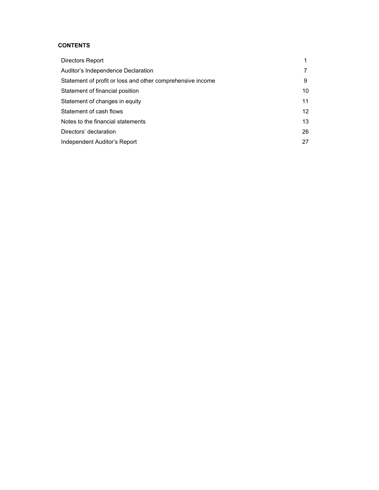## **CONTENTS**

| Directors Report                                           |                 |
|------------------------------------------------------------|-----------------|
| Auditor's Independence Declaration                         |                 |
| Statement of profit or loss and other comprehensive income | 9               |
| Statement of financial position                            | 10              |
| Statement of changes in equity                             | 11              |
| Statement of cash flows                                    | 12 <sup>2</sup> |
| Notes to the financial statements                          | 13              |
| Directors' declaration                                     | 26              |
| Independent Auditor's Report                               | 27              |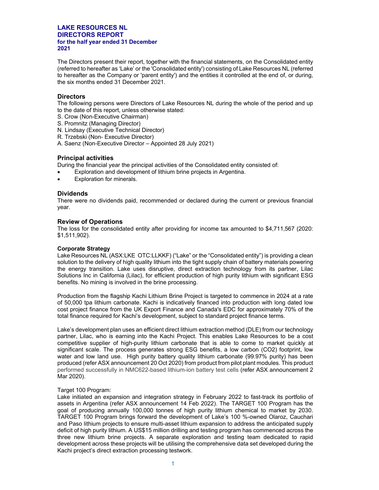The Directors present their report, together with the financial statements, on the Consolidated entity (referred to hereafter as 'Lake' or the 'Consolidated entity') consisting of Lake Resources NL (referred to hereafter as the Company or 'parent entity') and the entities it controlled at the end of, or during, the six months ended 31 December 2021.

#### **Directors**

The following persons were Directors of Lake Resources NL during the whole of the period and up to the date of this report, unless otherwise stated:

- S. Crow (Non-Executive Chairman)
- S. Promnitz (Managing Director)
- N. Lindsay (Executive Technical Director)
- R. Trzebski (Non- Executive Director)
- A. Saenz (Non-Executive Director Appointed 28 July 2021)

#### **Principal activities**

During the financial year the principal activities of the Consolidated entity consisted of:

- Exploration and development of lithium brine projects in Argentina.
- Exploration for minerals.

#### **Dividends**

There were no dividends paid, recommended or declared during the current or previous financial year.

#### **Review of Operations**

The loss for the consolidated entity after providing for income tax amounted to \$4,711,567 (2020: \$1,511,902).

#### **Corporate Strategy**

Lake Resources NL (ASX:LKE OTC:LLKKF) ("Lake" or the "Consolidated entity") is providing a clean solution to the delivery of high quality lithium into the tight supply chain of battery materials powering the energy transition. Lake uses disruptive, direct extraction technology from its partner, Lilac Solutions Inc in California (Lilac), for efficient production of high purity lithium with significant ESG benefits. No mining is involved in the brine processing.

Production from the flagship Kachi Lithium Brine Project is targeted to commence in 2024 at a rate of 50,000 tpa lithium carbonate. Kachi is indicatively financed into production with long dated low cost project finance from the UK Export Finance and Canada's EDC for approximately 70% of the total finance required for Kachi's development, subject to standard project finance terms.

Lake's development plan uses an efficient direct lithium extraction method (DLE) from our technology partner, Lilac, who is earning into the Kachi Project. This enables Lake Resources to be a cost competitive supplier of high-purity lithium carbonate that is able to come to market quickly at significant scale. The process generates strong ESG benefits, a low carbon (CO2) footprint, low water and low land use. High purity battery quality lithium carbonate (99.97% purity) has been produced (refer ASX announcement 20 Oct 2020) from product from pilot plant modules. This product performed successfully in NMC622-based lithium-ion battery test cells (refer ASX announcement 2 Mar 2020).

#### Target 100 Program:

Lake initiated an expansion and integration strategy in February 2022 to fast-track its portfolio of assets in Argentina (refer ASX announcement 14 Feb 2022). The TARGET 100 Program has the goal of producing annually 100,000 tonnes of high purity lithium chemical to market by 2030. TARGET 100 Program brings forward the development of Lake's 100 %-owned Olaroz, Cauchari and Paso lithium projects to ensure multi-asset lithium expansion to address the anticipated supply deficit of high purity lithium. A US\$15 million drilling and testing program has commenced across the three new lithium brine projects. A separate exploration and testing team dedicated to rapid development across these projects will be utilising the comprehensive data set developed during the Kachi project's direct extraction processing testwork.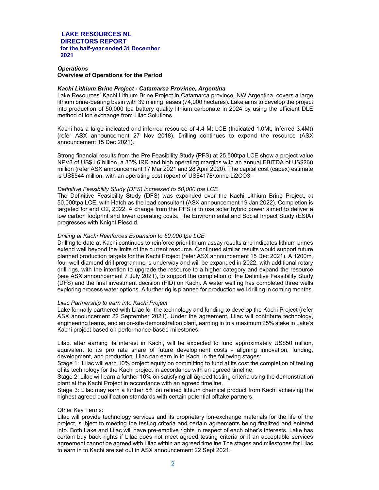#### *Operations*  **Overview of Operations for the Period**

#### *Kachi Lithium Brine Project - Catamarca Province, Argentina*

Lake Resources' Kachi Lithium Brine Project in Catamarca province, NW Argentina, covers a large lithium brine-bearing basin with 39 mining leases (74,000 hectares). Lake aims to develop the project into production of 50,000 tpa battery quality lithium carbonate in 2024 by using the efficient DLE method of ion exchange from Lilac Solutions.

Kachi has a large indicated and inferred resource of 4.4 Mt LCE (Indicated 1.0Mt, Inferred 3.4Mt) (refer ASX announcement 27 Nov 2018). Drilling continues to expand the resource (ASX announcement 15 Dec 2021).

Strong financial results from the Pre Feasibility Study (PFS) at 25,500tpa LCE show a project value NPV8 of US\$1.6 billion, a 35% IRR and high operating margins with an annual EBITDA of US\$260 million (refer ASX announcement 17 Mar 2021 and 28 April 2020). The capital cost (capex) estimate is US\$544 million, with an operating cost (opex) of US\$4178/tonne Li2CO3.

#### *Definitive Feasibility Study (DFS) increased to 50,000 tpa LCE*

The Definitive Feasibility Study (DFS) was expanded over the Kachi Lithium Brine Project, at 50,000tpa LCE, with Hatch as the lead consultant (ASX announcement 19 Jan 2022). Completion is targeted for end Q2, 2022. A change from the PFS is to use solar hybrid power aimed to deliver a low carbon footprint and lower operating costs. The Environmental and Social Impact Study (ESIA) progresses with Knight Piesold.

#### *Drilling at Kachi Reinforces Expansion to 50,000 tpa LCE*

Drilling to date at Kachi continues to reinforce prior lithium assay results and indicates lithium brines extend well beyond the limits of the current resource. Continued similar results would support future planned production targets for the Kachi Project (refer ASX announcement 15 Dec 2021). A 1200m, four well diamond drill programme is underway and will be expanded in 2022, with additional rotary drill rigs, with the intention to upgrade the resource to a higher category and expand the resource (see ASX announcement 7 July 2021), to support the completion of the Definitive Feasibility Study (DFS) and the final investment decision (FID) on Kachi. A water well rig has completed three wells exploring process water options. A further rig is planned for production well drilling in coming months.

#### *Lilac Partnership to earn into Kachi Project*

Lake formally partnered with Lilac for the technology and funding to develop the Kachi Project (refer ASX announcement 22 September 2021). Under the agreement, Lilac will contribute technology, engineering teams, and an on-site demonstration plant, earning in to a maximum 25% stake in Lake's Kachi project based on performance-based milestones.

Lilac, after earning its interest in Kachi, will be expected to fund approximately US\$50 million, equivalent to its pro rata share of future development costs - aligning innovation, funding, development, and production. Lilac can earn in to Kachi in the following stages:

Stage 1: Lilac will earn 10% project equity on committing to fund at its cost the completion of testing of its technology for the Kachi project in accordance with an agreed timeline.

Stage 2: Lilac will earn a further 10% on satisfying all agreed testing criteria using the demonstration plant at the Kachi Project in accordance with an agreed timeline.

Stage 3: Lilac may earn a further 5% on refined lithium chemical product from Kachi achieving the highest agreed qualification standards with certain potential offtake partners.

#### Other Key Terms:

Lilac will provide technology services and its proprietary ion-exchange materials for the life of the project, subject to meeting the testing criteria and certain agreements being finalized and entered into. Both Lake and Lilac will have pre-emptive rights in respect of each other's interests. Lake has certain buy back rights if Lilac does not meet agreed testing criteria or if an acceptable services agreement cannot be agreed with Lilac within an agreed timeline The stages and milestones for Lilac to earn in to Kachi are set out in ASX announcement 22 Sept 2021.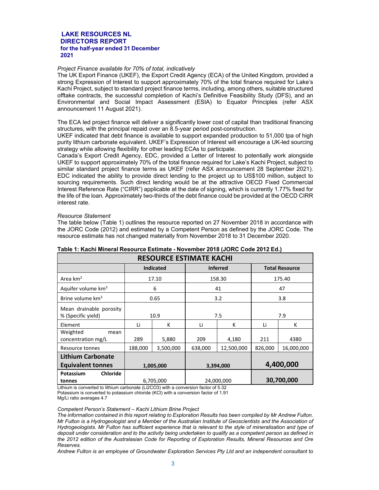#### *Project Finance available for 70% of total, indicatively*

The UK Export Finance (UKEF), the Export Credit Agency (ECA) of the United Kingdom, provided a strong Expression of Interest to support approximately 70% of the total finance required for Lake's Kachi Project, subject to standard project finance terms, including, among others, suitable structured offtake contracts, the successful completion of Kachi's Definitive Feasibility Study (DFS), and an Environmental and Social Impact Assessment (ESIA) to Equator Principles (refer ASX announcement 11 August 2021).

The ECA led project finance will deliver a significantly lower cost of capital than traditional financing structures, with the principal repaid over an 8.5-year period post-construction.

UKEF indicated that debt finance is available to support expanded production to 51,000 tpa of high purity lithium carbonate equivalent. UKEF's Expression of Interest will encourage a UK-led sourcing strategy while allowing flexibility for other leading ECAs to participate.

Canada's Export Credit Agency, EDC, provided a Letter of Interest to potentially work alongside UKEF to support approximately 70% of the total finance required for Lake's Kachi Project, subject to similar standard project finance terms as UKEF (refer ASX announcement 28 September 2021). EDC indicated the ability to provide direct lending to the project up to US\$100 million, subject to sourcing requirements. Such direct lending would be at the attractive OECD Fixed Commercial Interest Reference Rate ("CIRR") applicable at the date of signing, which is currently 1.77% fixed for the life of the loan. Approximately two-thirds of the debt finance could be provided at the OECD CIRR interest rate.

#### *Resource Statement*

The table below (Table 1) outlines the resource reported on 27 November 2018 in accordance with the JORC Code (2012) and estimated by a Competent Person as defined by the JORC Code. The resource estimate has not changed materially from November 2018 to 31 December 2020.

| <b>RESOURCE ESTIMATE KACHI</b>                |                                       |                  |                 |            |                       |            |
|-----------------------------------------------|---------------------------------------|------------------|-----------------|------------|-----------------------|------------|
|                                               |                                       | <b>Indicated</b> | <b>Inferred</b> |            | <b>Total Resource</b> |            |
| Area $km2$                                    |                                       | 17.10            | 158.30          |            | 175.40                |            |
| Aquifer volume km <sup>3</sup>                |                                       | 6                |                 | 41         | 47                    |            |
| Brine volume km <sup>3</sup>                  |                                       | 0.65             |                 | 3.2        |                       | 3.8        |
| Mean drainable porosity<br>% (Specific yield) |                                       | 10.9             | 7.5             |            | 7.9                   |            |
| Element                                       | Li                                    | K                | Li              | K          | Li                    | K          |
| Weighted<br>mean<br>concentration mg/L        | 289                                   | 5,880            | 4,180<br>209    |            | 211                   | 4380       |
| Resource tonnes                               | 188,000                               | 3,500,000        | 638,000         | 12,500,000 |                       | 16,000,000 |
| <b>Lithium Carbonate</b>                      |                                       |                  |                 |            |                       |            |
| <b>Equivalent tonnes</b>                      |                                       | 1,005,000        | 3,394,000       |            | 4,400,000             |            |
| <b>Chloride</b><br>Potassium<br>tonnes        | 30,700,000<br>6,705,000<br>24,000,000 |                  |                 |            |                       |            |

### **Table 1: Kachi Mineral Resource Estimate - November 2018 (JORC Code 2012 Ed.)**

Lithium is converted to lithium carbonate (Li2CO3) with a conversion factor of 5.32 Potassium is converted to potassium chloride (KCl) with a conversion factor of 1.91 Mg/Li ratio averages 4.7

*Competent Person's Statement – Kachi Lithium Brine Project* 

*Andrew Fulton is an employee of Groundwater Exploration Services Pty Ltd and an independent consultant to* 

*The information contained in this report relating to Exploration Results has been compiled by Mr Andrew Fulton. Mr Fulton is a Hydrogeologist and a Member of the Australian Institute of Geoscientists and the Association of Hydrogeologists. Mr Fulton has sufficient experience that is relevant to the style of mineralisation and type of deposit under consideration and to the activity being undertaken to qualify as a competent person as defined in the 2012 edition of the Australasian Code for Reporting of Exploration Results, Mineral Resources and Ore Reserves.*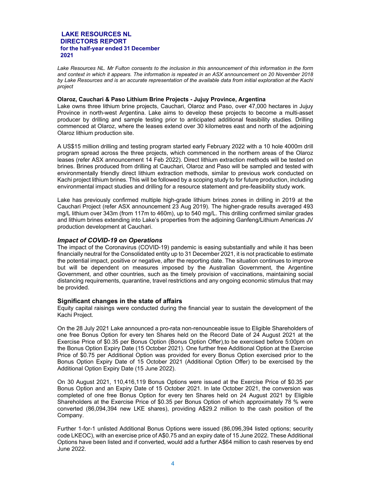*Lake Resources NL. Mr Fulton consents to the inclusion in this announcement of this information in the form and context in which it appears. The information is repeated in an ASX announcement on 20 November 2018 by Lake Resources and is an accurate representation of the available data from initial exploration at the Kachi project* 

#### **Olaroz, Cauchari & Paso Lithium Brine Projects - Jujuy Province, Argentina**

Lake owns three lithium brine projects, Cauchari, Olaroz and Paso, over 47,000 hectares in Jujuy Province in north-west Argentina. Lake aims to develop these projects to become a multi-asset producer by drilling and sample testing prior to anticipated additional feasibility studies. Drilling commenced at Olaroz, where the leases extend over 30 kilometres east and north of the adjoining Olaroz lithium production site.

A US\$15 million drilling and testing program started early February 2022 with a 10 hole 4000m drill program spread across the three projects, which commenced in the northern areas of the Olaroz leases (refer ASX announcement 14 Feb 2022). Direct lithium extraction methods will be tested on brines. Brines produced from drilling at Cauchari, Olaroz and Paso will be sampled and tested with environmentally friendly direct lithium extraction methods, similar to previous work conducted on Kachi project lithium brines. This will be followed by a scoping study to for future production, including environmental impact studies and drilling for a resource statement and pre-feasibility study work.

Lake has previously confirmed multiple high-grade lithium brines zones in drilling in 2019 at the Cauchari Project (refer ASX announcement 23 Aug 2019). The higher-grade results averaged 493 mg/L lithium over 343m (from 117m to 460m), up to 540 mg/L. This drilling confirmed similar grades and lithium brines extending into Lake's properties from the adjoining Ganfeng/Lithium Americas JV production development at Cauchari.

#### *Impact of COVID-19 on Operations*

The impact of the Coronavirus (COVID-19) pandemic is easing substantially and while it has been financially neutral for the Consolidated entity up to 31 December 2021, it is not practicable to estimate the potential impact, positive or negative, after the reporting date. The situation continues to improve but will be dependent on measures imposed by the Australian Government, the Argentine Government, and other countries, such as the timely provision of vaccinations, maintaining social distancing requirements, quarantine, travel restrictions and any ongoing economic stimulus that may be provided.

#### **Significant changes in the state of affairs**

Equity capital raisings were conducted during the financial year to sustain the development of the Kachi Project.

On the 28 July 2021 Lake announced a pro-rata non-renounceable issue to Eligible Shareholders of one free Bonus Option for every ten Shares held on the Record Date of 24 August 2021 at the Exercise Price of \$0.35 per Bonus Option (Bonus Option Offer),to be exercised before 5:00pm on the Bonus Option Expiry Date (15 October 2021). One further free Additional Option at the Exercise Price of \$0.75 per Additional Option was provided for every Bonus Option exercised prior to the Bonus Option Expiry Date of 15 October 2021 (Additional Option Offer) to be exercised by the Additional Option Expiry Date (15 June 2022).

On 30 August 2021, 110,416,119 Bonus Options were issued at the Exercise Price of \$0.35 per Bonus Option and an Expiry Date of 15 October 2021. In late October 2021, the conversion was completed of one free Bonus Option for every ten Shares held on 24 August 2021 by Eligible Shareholders at the Exercise Price of \$0.35 per Bonus Option of which approximately 78 % were converted (86,094,394 new LKE shares), providing A\$29.2 million to the cash position of the Company.

Further 1-for-1 unlisted Additional Bonus Options were issued (86,096,394 listed options; security code LKEOC), with an exercise price of A\$0.75 and an expiry date of 15 June 2022. These Additional Options have been listed and if converted, would add a further A\$64 million to cash reserves by end June 2022.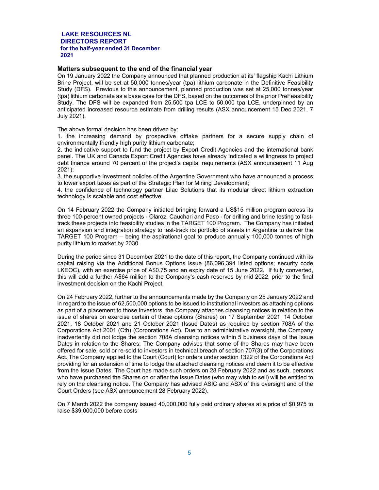#### **Matters subsequent to the end of the financial year**

On 19 January 2022 the Company announced that planned production at its' flagship Kachi Lithium Brine Project, will be set at 50,000 tonnes/year (tpa) lithium carbonate in the Definitive Feasibility Study (DFS). Previous to this announcement, planned production was set at 25,000 tonnes/year (tpa) lithium carbonate as a base case for the DFS, based on the outcomes of the prior PreFeasibility Study. The DFS will be expanded from 25,500 tpa LCE to 50,000 tpa LCE, underpinned by an anticipated increased resource estimate from drilling results (ASX announcement 15 Dec 2021, 7 July 2021).

The above formal decision has been driven by:

1. the increasing demand by prospective offtake partners for a secure supply chain of environmentally friendly high purity lithium carbonate;

2. the indicative support to fund the project by Export Credit Agencies and the international bank panel. The UK and Canada Export Credit Agencies have already indicated a willingness to project debt finance around 70 percent of the project's capital requirements (ASX announcement 11 Aug 2021);

3. the supportive investment policies of the Argentine Government who have announced a process to lower export taxes as part of the Strategic Plan for Mining Development;

4. the confidence of technology partner Lilac Solutions that its modular direct lithium extraction technology is scalable and cost effective.

On 14 February 2022 the Company initiated bringing forward a US\$15 million program across its three 100-percent owned projects - Olaroz, Cauchari and Paso - for drilling and brine testing to fasttrack these projects into feasibility studies in the TARGET 100 Program. The Company has initiated an expansion and integration strategy to fast-track its portfolio of assets in Argentina to deliver the TARGET 100 Program – being the aspirational goal to produce annually 100,000 tonnes of high purity lithium to market by 2030.

During the period since 31 December 2021 to the date of this report, the Company continued with its capital raising via the Additional Bonus Options issue (86,096,394 listed options; security code LKEOC), with an exercise price of A\$0.75 and an expiry date of 15 June 2022. If fully converted, this will add a further A\$64 million to the Company's cash reserves by mid 2022, prior to the final investment decision on the Kachi Project.

On 24 February 2022, further to the announcements made by the Company on 25 January 2022 and in regard to the issue of 62,500,000 options to be issued to institutional investors as attaching options as part of a placement to those investors, the Company attaches cleansing notices in relation to the issue of shares on exercise certain of these options (Shares) on 17 September 2021, 14 October 2021, 18 October 2021 and 21 October 2021 (Issue Dates) as required by section 708A of the Corporations Act 2001 (Cth) (Corporations Act). Due to an administrative oversight, the Company inadvertently did not lodge the section 708A cleansing notices within 5 business days of the Issue Dates in relation to the Shares. The Company advises that some of the Shares may have been offered for sale, sold or re-sold to investors in technical breach of section 707(3) of the Corporations Act. The Company applied to the Court (Court) for orders under section 1322 of the Corporations Act providing for an extension of time to lodge the attached cleansing notices and deem it to be effective from the Issue Dates. The Court has made such orders on 28 February 2022 and as such, persons who have purchased the Shares on or after the Issue Dates (who may wish to sell) will be entitled to rely on the cleansing notice. The Company has advised ASIC and ASX of this oversight and of the Court Orders (see ASX announcement 28 February 2022).

On 7 March 2022 the company issued 40,000,000 fully paid ordinary shares at a price of \$0.975 to raise \$39,000,000 before costs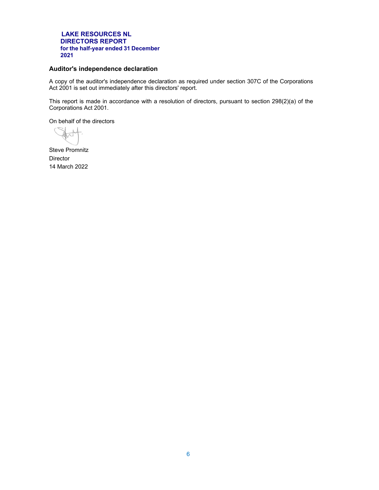#### **Auditor's independence declaration**

A copy of the auditor's independence declaration as required under section 307C of the Corporations Act 2001 is set out immediately after this directors' report.

This report is made in accordance with a resolution of directors, pursuant to section 298(2)(a) of the Corporations Act 2001.

On behalf of the directors

Steve Promnitz **Director** 14 March 2022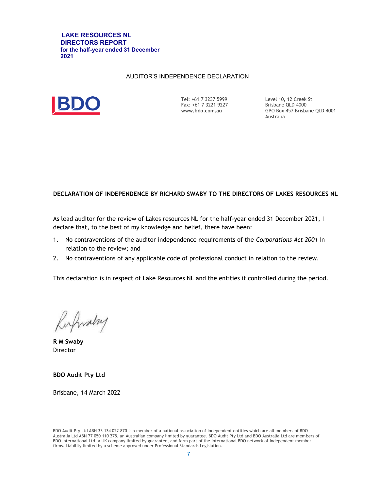#### AUDITOR'S INDEPENDENCE DECLARATION



Tel: +61 7 3237 5999 Fax: +61 7 3221 9227 **www.bdo.com.au** 

Level 10, 12 Creek St Brisbane QLD 4000 GPO Box 457 Brisbane QLD 4001 Australia

### **DECLARATION OF INDEPENDENCE BY RICHARD SWABY TO THE DIRECTORS OF LAKES RESOURCES NL**

As lead auditor for the review of Lakes resources NL for the half-year ended 31 December 2021, I declare that, to the best of my knowledge and belief, there have been:

- 1. No contraventions of the auditor independence requirements of the *Corporations Act 2001* in relation to the review; and
- 2. No contraventions of any applicable code of professional conduct in relation to the review.

This declaration is in respect of Lake Resources NL and the entities it controlled during the period.

Rufwalry

**R M Swaby**  Director

**BDO Audit Pty Ltd**

Brisbane, 14 March 2022

BDO Audit Pty Ltd ABN 33 134 022 870 is a member of a national association of independent entities which are all members of BDO Australia Ltd ABN 77 050 110 275, an Australian company limited by guarantee. BDO Audit Pty Ltd and BDO Australia Ltd are members of BDO International Ltd, a UK company limited by guarantee, and form part of the international BDO network of independent member firms. Liability limited by a scheme approved under Professional Standards Legislation.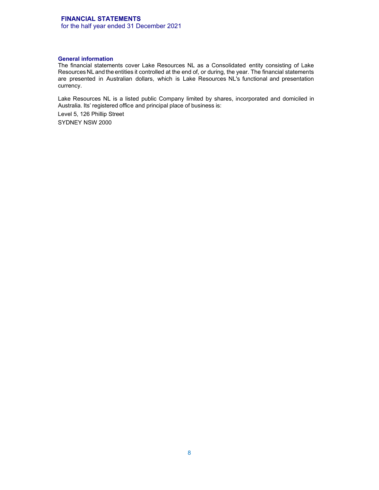# **FINANCIAL STATEMENTS**

for the half year ended 31 December 2021

#### **General information**

The financial statements cover Lake Resources NL as a Consolidated entity consisting of Lake Resources NL and the entities it controlled at the end of, or during, the year. The financial statements are presented in Australian dollars, which is Lake Resources NL's functional and presentation currency.

Lake Resources NL is a listed public Company limited by shares, incorporated and domiciled in Australia. Its' registered office and principal place of business is:

Level 5, 126 Phillip Street SYDNEY NSW 2000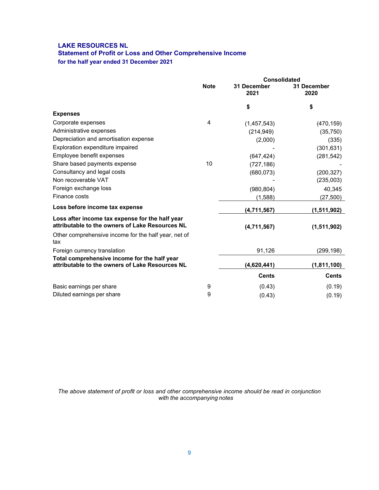# **LAKE RESOURCES NL Statement of Profit or Loss and Other Comprehensive Income for the half year ended 31 December 2021**

|                                                                                                    |             | <b>Consolidated</b> |                     |
|----------------------------------------------------------------------------------------------------|-------------|---------------------|---------------------|
|                                                                                                    | <b>Note</b> | 31 December<br>2021 | 31 December<br>2020 |
|                                                                                                    |             | \$                  | \$                  |
| <b>Expenses</b>                                                                                    |             |                     |                     |
| Corporate expenses                                                                                 | 4           | (1,457,543)         | (470, 159)          |
| Administrative expenses                                                                            |             | (214, 949)          | (35, 750)           |
| Depreciation and amortisation expense                                                              |             | (2,000)             | (335)               |
| Exploration expenditure impaired                                                                   |             |                     | (301, 631)          |
| Employee benefit expenses                                                                          |             | (647, 424)          | (281, 542)          |
| Share based payments expense                                                                       | 10          | (727, 186)          |                     |
| Consultancy and legal costs                                                                        |             | (680, 073)          | (200, 327)          |
| Non recoverable VAT                                                                                |             |                     | (235,003)           |
| Foreign exchange loss                                                                              |             | (980, 804)          | 40,345              |
| Finance costs                                                                                      |             | (1,588)             | (27,500)            |
| Loss before income tax expense                                                                     |             | (4,711,567)         | (1,511,902)         |
| Loss after income tax expense for the half year<br>attributable to the owners of Lake Resources NL |             | (4,711,567)         | (1,511,902)         |
| Other comprehensive income for the half year, net of<br>tax                                        |             |                     |                     |
| Foreign currency translation                                                                       |             | 91,126              | (299, 198)          |
| Total comprehensive income for the half year<br>attributable to the owners of Lake Resources NL    |             | (4,620,441)         | (1, 811, 100)       |
|                                                                                                    |             | <b>Cents</b>        | <b>Cents</b>        |
| Basic earnings per share                                                                           | 9           | (0.43)              | (0.19)              |
| Diluted earnings per share                                                                         | 9           | (0.43)              | (0.19)              |

*The above statement of profit or loss and other comprehensive income should be read in conjunction with the accompanying notes*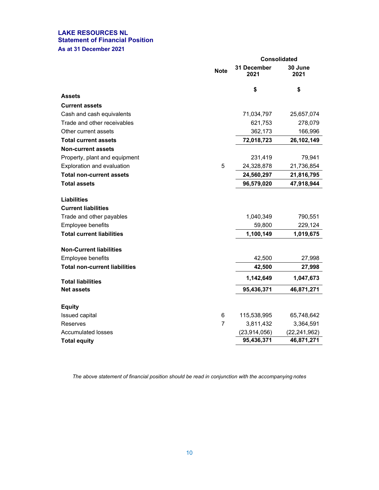#### **LAKE RESOURCES NL Statement of Financial Position As at 31 December 2021**

|                                      |                | <b>Consolidated</b> |                 |  |
|--------------------------------------|----------------|---------------------|-----------------|--|
|                                      | <b>Note</b>    | 31 December<br>2021 | 30 June<br>2021 |  |
|                                      |                | \$                  | \$              |  |
| <b>Assets</b>                        |                |                     |                 |  |
| <b>Current assets</b>                |                |                     |                 |  |
| Cash and cash equivalents            |                | 71,034,797          | 25,657,074      |  |
| Trade and other receivables          |                | 621,753             | 278,079         |  |
| Other current assets                 |                | 362,173             | 166,996         |  |
| <b>Total current assets</b>          |                | 72,018,723          | 26,102,149      |  |
| <b>Non-current assets</b>            |                |                     |                 |  |
| Property, plant and equipment        |                | 231,419             | 79,941          |  |
| Exploration and evaluation           | 5              | 24,328,878          | 21,736,854      |  |
| <b>Total non-current assets</b>      |                | 24,560,297          | 21,816,795      |  |
| <b>Total assets</b>                  |                | 96,579,020          | 47,918,944      |  |
| <b>Liabilities</b>                   |                |                     |                 |  |
| <b>Current liabilities</b>           |                |                     |                 |  |
| Trade and other payables             |                | 1,040,349           | 790,551         |  |
| Employee benefits                    |                | 59,800              | 229,124         |  |
| <b>Total current liabilities</b>     |                | 1,100,149           | 1,019,675       |  |
| <b>Non-Current liabilities</b>       |                |                     |                 |  |
| Employee benefits                    |                | 42,500              | 27,998          |  |
| <b>Total non-current liabilities</b> |                | 42,500              | 27,998          |  |
| <b>Total liabilities</b>             |                | 1,142,649           | 1,047,673       |  |
| <b>Net assets</b>                    |                | 95,436,371          | 46,871,271      |  |
| <b>Equity</b>                        |                |                     |                 |  |
| Issued capital                       | 6              | 115,538,995         | 65,748,642      |  |
| Reserves                             | $\overline{7}$ | 3,811,432           | 3,364,591       |  |
| <b>Accumulated losses</b>            |                | (23, 914, 056)      | (22, 241, 962)  |  |
| <b>Total equity</b>                  |                | 95,436,371          | 46,871,271      |  |

*The above statement of financial position should be read in conjunction with the accompanying notes*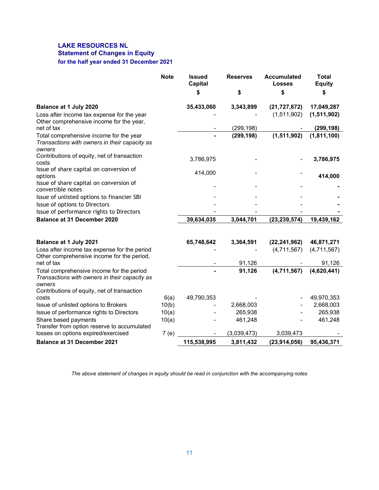# **LAKE RESOURCES NL Statement of Changes in Equity for the half year ended 31 December 2021**

|                                                                                                                                                     | <b>Note</b> | <b>Issued</b><br><b>Capital</b> | <b>Reserves</b> | <b>Accumulated</b><br><b>Losses</b> | <b>Total</b><br><b>Equity</b> |
|-----------------------------------------------------------------------------------------------------------------------------------------------------|-------------|---------------------------------|-----------------|-------------------------------------|-------------------------------|
|                                                                                                                                                     |             | S                               | \$              | \$                                  | \$                            |
| Balance at 1 July 2020                                                                                                                              |             | 35,433,060                      | 3,343,899       | (21, 727, 672)                      | 17,049,287                    |
| Loss after income tax expense for the year                                                                                                          |             |                                 |                 | (1,511,902)                         | (1,511,902)                   |
| Other comprehensive income for the year,<br>net of tax                                                                                              |             |                                 | (299, 198)      |                                     | (299, 198)                    |
| Total comprehensive income for the year<br>Transactions with owners in their capacity as<br>owners                                                  |             |                                 | (299, 198)      | (1,511,902)                         | (1,811,100)                   |
| Contributions of equity, net of transaction<br>costs                                                                                                |             | 3,786,975                       |                 |                                     | 3,786,975                     |
| Issue of share capital on conversion of<br>options<br>Issue of share capital on conversion of                                                       |             | 414,000                         |                 |                                     | 414,000                       |
| convertible notes                                                                                                                                   |             |                                 |                 |                                     |                               |
| Issue of unlisted options to financier SBI                                                                                                          |             |                                 |                 |                                     |                               |
| Issue of options to Directors                                                                                                                       |             |                                 |                 |                                     |                               |
| Issue of performance rights to Directors                                                                                                            |             |                                 |                 |                                     |                               |
| <b>Balance at 31 December 2020</b>                                                                                                                  |             | 39,634,035                      | 3,044,701       | (23, 239, 574)                      | 19,439,162                    |
| Balance at 1 July 2021                                                                                                                              |             | 65,748,642                      | 3,364,591       | (22, 241, 962)                      | 46,871,271                    |
| Loss after income tax expense for the period<br>Other comprehensive income for the period,                                                          |             |                                 |                 | (4,711,567)                         | (4,711,567)                   |
| net of tax                                                                                                                                          |             |                                 | 91,126          |                                     | 91,126                        |
| Total comprehensive income for the period<br>Transactions with owners in their capacity as<br>owners<br>Contributions of equity, net of transaction |             |                                 | 91,126          | (4,711,567)                         | (4,620,441)                   |
| costs                                                                                                                                               | 6(a)        | 49,790,353                      |                 |                                     | 49,970,353                    |
| Issue of unlisted options to Brokers                                                                                                                | 10(b)       |                                 | 2,668,003       |                                     | 2,668,003                     |
| Issue of performance rights to Directors                                                                                                            | 10(a)       |                                 | 265,938         |                                     | 265,938                       |
| Share based payments<br>Transfer from option reserve to accumulated                                                                                 | 10(a)       |                                 | 461,248         |                                     | 461,248                       |
| losses on options expired/exercised                                                                                                                 | 7(e)        |                                 | (3,039,473)     | 3,039,473                           |                               |
| <b>Balance at 31 December 2021</b>                                                                                                                  |             | 115,538,995                     | 3,811,432       | (23,914,056)                        | 95,436,371                    |

*The above statement of changes in equity should be read in conjunction with the accompanying notes*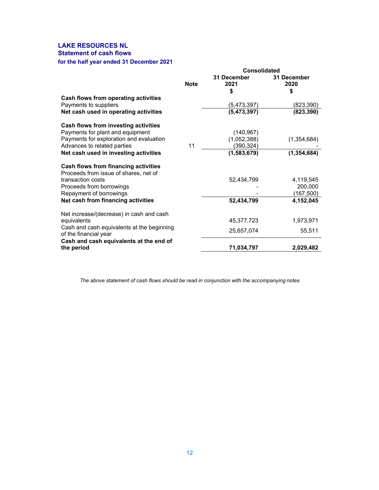### **LAKE RESOURCES NL Statement of cash flows**

# **for the half year ended 31 December 2021**

|                                                                     | <b>Consolidated</b> |                     |                     |  |
|---------------------------------------------------------------------|---------------------|---------------------|---------------------|--|
|                                                                     | <b>Note</b>         | 31 December<br>2021 | 31 December<br>2020 |  |
|                                                                     |                     | \$                  | \$                  |  |
| Cash flows from operating activities                                |                     |                     |                     |  |
| Payments to suppliers                                               |                     | (5,473,397)         | (823,390)           |  |
| Net cash used in operating activities                               |                     | (5,473,397)         | (823, 390)          |  |
| Cash flows from investing activities                                |                     |                     |                     |  |
| Payments for plant and equipment                                    |                     | (140, 967)          |                     |  |
| Payments for exploration and evaluation                             |                     | (1,052,388)         | (1,354,684)         |  |
| Advances to related parties                                         | 11                  | (390,324)           |                     |  |
| Net cash used in investing activities                               |                     | (1,583,679)         | (1, 354, 684)       |  |
| Cash flows from financing activities                                |                     |                     |                     |  |
| Proceeds from issue of shares, net of                               |                     |                     |                     |  |
| transaction costs                                                   |                     | 52,434,799          | 4,119,545           |  |
| Proceeds from borrowings                                            |                     |                     | 200,000             |  |
| Repayment of borrowings                                             |                     |                     | (167, 500)          |  |
| Net cash from financing activities                                  |                     | 52,434,799          | 4,152,045           |  |
| Net increase/(decrease) in cash and cash                            |                     |                     |                     |  |
| equivalents                                                         |                     | 45,377,723          | 1,973,971           |  |
| Cash and cash equivalents at the beginning<br>of the financial year |                     | 25,657,074          | 55,511              |  |
| Cash and cash equivalents at the end of                             |                     |                     |                     |  |
| the period                                                          |                     | 71,034,797          | 2,029,482           |  |

*The above statement of cash flows should be read in conjunction with the accompanying notes*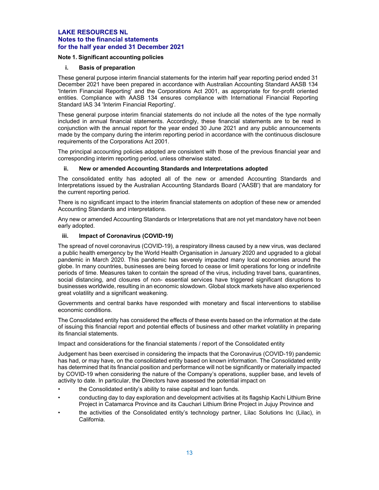#### **Note 1. Significant accounting policies**

#### **i. Basis of preparation**

These general purpose interim financial statements for the interim half year reporting period ended 31 December 2021 have been prepared in accordance with Australian Accounting Standard AASB 134 'Interim Financial Reporting' and the Corporations Act 2001, as appropriate for for-profit oriented entities. Compliance with AASB 134 ensures compliance with International Financial Reporting Standard IAS 34 'Interim Financial Reporting'.

These general purpose interim financial statements do not include all the notes of the type normally included in annual financial statements. Accordingly, these financial statements are to be read in conjunction with the annual report for the year ended 30 June 2021 and any public announcements made by the company during the interim reporting period in accordance with the continuous disclosure requirements of the Corporations Act 2001.

The principal accounting policies adopted are consistent with those of the previous financial year and corresponding interim reporting period, unless otherwise stated.

#### **ii. New or amended Accounting Standards and Interpretations adopted**

The consolidated entity has adopted all of the new or amended Accounting Standards and Interpretations issued by the Australian Accounting Standards Board ('AASB') that are mandatory for the current reporting period.

There is no significant impact to the interim financial statements on adoption of these new or amended Accounting Standards and interpretations.

Any new or amended Accounting Standards or Interpretations that are not yet mandatory have not been early adopted.

#### **iii. Impact of Coronavirus (COVID-19)**

The spread of novel coronavirus (COVID-19), a respiratory illness caused by a new virus, was declared a public health emergency by the World Health Organisation in January 2020 and upgraded to a global pandemic in March 2020. This pandemic has severely impacted many local economies around the globe. In many countries, businesses are being forced to cease or limit operations for long or indefinite periods of time. Measures taken to contain the spread of the virus, including travel bans, quarantines, social distancing, and closures of non- essential services have triggered significant disruptions to businesses worldwide, resulting in an economic slowdown. Global stock markets have also experienced great volatility and a significant weakening.

Governments and central banks have responded with monetary and fiscal interventions to stabilise economic conditions.

The Consolidated entity has considered the effects of these events based on the information at the date of issuing this financial report and potential effects of business and other market volatility in preparing its financial statements.

Impact and considerations for the financial statements / report of the Consolidated entity

Judgement has been exercised in considering the impacts that the Coronavirus (COVID-19) pandemic has had, or may have, on the consolidated entity based on known information. The Consolidated entity has determined that its financial position and performance will not be significantly or materially impacted by COVID-19 when considering the nature of the Company's operations, supplier base, and levels of activity to date. In particular, the Directors have assessed the potential impact on

- the Consolidated entity's ability to raise capital and loan funds.
- conducting day to day exploration and development activities at its flagship Kachi Lithium Brine Project in Catamarca Province and its Cauchari Lithium Brine Project in Jujuy Province and
- the activities of the Consolidated entity's technology partner, Lilac Solutions Inc (Lilac), in California.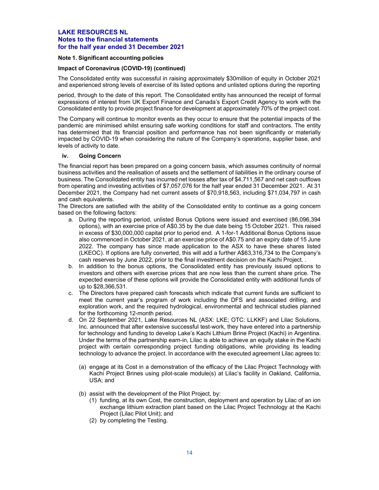#### **Note 1. Significant accounting policies**

#### **Impact of Coronavirus (COVID-19) (continued)**

The Consolidated entity was successful in raising approximately \$30million of equity in October 2021 and experienced strong levels of exercise of its listed options and unlisted options during the reporting

period, through to the date of this report. The Consolidated entity has announced the receipt of formal expressions of interest from UK Export Finance and Canada's Export Credit Agency to work with the Consolidated entity to provide project finance for development at approximately 70% of the project cost.

The Company will continue to monitor events as they occur to ensure that the potential impacts of the pandemic are minimised whilst ensuring safe working conditions for staff and contractors. The entity has determined that its financial position and performance has not been significantly or materially impacted by COVID-19 when considering the nature of the Company's operations, supplier base, and levels of activity to date.

#### **iv. Going Concern**

The financial report has been prepared on a going concern basis, which assumes continuity of normal business activities and the realisation of assets and the settlement of liabilities in the ordinary course of business. The Consolidated entity has incurred net losses after tax of \$4,711,567 and net cash outflows from operating and investing activities of \$7,057,076 for the half year ended 31 December 2021. At 31 December 2021, the Company had net current assets of \$70,918,563, including \$71,034,797 in cash and cash equivalents.

The Directors are satisfied with the ability of the Consolidated entity to continue as a going concern based on the following factors:

- a. During the reporting period, unlisted Bonus Options were issued and exercised (86,096,394 options), with an exercise price of A\$0.35 by the due date being 15 October 2021. This raised in excess of \$30,000,000 capital prior to period end. A 1-for-1 Additional Bonus Options issue also commenced in October 2021, at an exercise price of A\$0.75 and an expiry date of 15 June 2022. The company has since made application to the ASX to have these shares listed (LKEOC). If options are fully converted, this will add a further A\$63,316,734 to the Company's cash reserves by June 2022, prior to the final investment decision on the Kachi Project. .
- b. In addition to the bonus options, the Consolidated entity has previously issued options to investors and others with exercise prices that are now less than the current share price. The expected exercise of these options will provide the Consolidated entity with additional funds of up to \$28,366,531.
- c. The Directors have prepared cash forecasts which indicate that current funds are sufficient to meet the current year's program of work including the DFS and associated drilling, and exploration work, and the required hydrological, environmental and technical studies planned for the forthcoming 12-month period.
- d. On 22 September 2021, Lake Resources NL (ASX: LKE; OTC: LLKKF) and Lilac Solutions, Inc. announced that after extensive successful test-work, they have entered into a partnership for technology and funding to develop Lake's Kachi Lithium Brine Project (Kachi) in Argentina. Under the terms of the partnership earn-in, Lilac is able to achieve an equity stake in the Kachi project with certain corresponding project funding obligations, while providing its leading technology to advance the project. In accordance with the executed agreement Lilac agrees to:
	- (a) engage at its Cost in a demonstration of the efficacy of the Lilac Project Technology with Kachi Project Brines using pilot-scale module(s) at Lilac's facility in Oakland, California, USA; and
	- (b) assist with the development of the Pilot Project, by:
		- (1) funding, at its own Cost, the construction, deployment and operation by Lilac of an ion exchange lithium extraction plant based on the Lilac Project Technology at the Kachi Project (Lilac Pilot Unit); and
		- (2) by completing the Testing.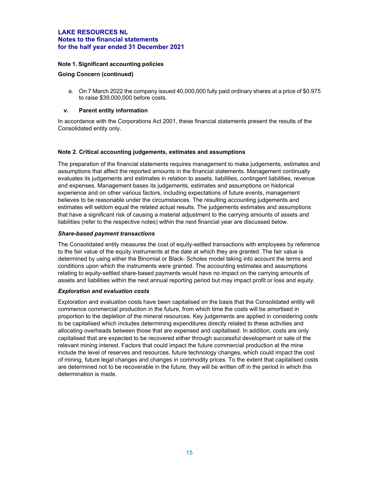#### **Note 1. Significant accounting policies**

#### **Going Concern (continued)**

a. On 7 March 2022 the company issued 40,000,000 fully paid ordinary shares at a price of \$0.975 to raise \$39,000,000 before costs.

#### **v. Parent entity information**

In accordance with the Corporations Act 2001, these financial statements present the results of the Consolidated entity only.

#### **Note 2. Critical accounting judgements, estimates and assumptions**

The preparation of the financial statements requires management to make judgements, estimates and assumptions that affect the reported amounts in the financial statements. Management continually evaluates its judgements and estimates in relation to assets, liabilities, contingent liabilities, revenue and expenses. Management bases its judgements, estimates and assumptions on historical experience and on other various factors, including expectations of future events, management believes to be reasonable under the circumstances. The resulting accounting judgements and estimates will seldom equal the related actual results. The judgements estimates and assumptions that have a significant risk of causing a material adjustment to the carrying amounts of assets and liabilities (refer to the respective notes) within the next financial year are discussed below.

#### *Share-based payment transactions*

The Consolidated entity measures the cost of equity-settled transactions with employees by reference to the fair value of the equity instruments at the date at which they are granted. The fair value is determined by using either the Binomial or Black- Scholes model taking into account the terms and conditions upon which the instruments were granted. The accounting estimates and assumptions relating to equity-settled share-based payments would have no impact on the carrying amounts of assets and liabilities within the next annual reporting period but may impact profit or loss and equity.

#### *Exploration and evaluation costs*

Exploration and evaluation costs have been capitalised on the basis that the Consolidated entity will commence commercial production in the future, from which time the costs will be amortised in proportion to the depletion of the mineral resources. Key judgements are applied in considering costs to be capitalised which includes determining expenditures directly related to these activities and allocating overheads between those that are expensed and capitalised. In addition, costs are only capitalised that are expected to be recovered either through successful development or sale of the relevant mining interest. Factors that could impact the future commercial production at the mine include the level of reserves and resources, future technology changes, which could impact the cost of mining, future legal changes and changes in commodity prices. To the extent that capitalised costs are determined not to be recoverable in the future, they will be written off in the period in which this determination is made.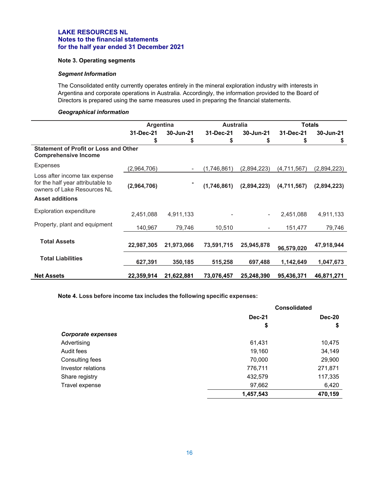#### **Note 3. Operating segments**

#### *Segment Information*

The Consolidated entity currently operates entirely in the mineral exploration industry with interests in Argentina and corporate operations in Australia. Accordingly, the information provided to the Board of Directors is prepared using the same measures used in preparing the financial statements.

#### *Geographical information*

|                                                                                                   | Argentina   |            | <b>Australia</b> |                          | <b>Totals</b> |             |
|---------------------------------------------------------------------------------------------------|-------------|------------|------------------|--------------------------|---------------|-------------|
|                                                                                                   | 31-Dec-21   | 30-Jun-21  | 31-Dec-21        | 30-Jun-21                | 31-Dec-21     | 30-Jun-21   |
|                                                                                                   | S           | \$         | \$               | \$                       | \$            | \$          |
| <b>Statement of Profit or Loss and Other</b><br><b>Comprehensive Income</b>                       |             |            |                  |                          |               |             |
| Expenses                                                                                          | (2,964,706) |            | (1,746,861)      | (2,894,223)              | (4,711,567)   | (2,894,223) |
| Loss after income tax expense<br>for the half year attributable to<br>owners of Lake Resources NL | (2,964,706) |            | (1,746,861)      | (2,894,223)              | (4,711,567)   | (2,894,223) |
| <b>Asset additions</b>                                                                            |             |            |                  |                          |               |             |
| <b>Exploration expenditure</b>                                                                    | 2,451,088   | 4,911,133  |                  | $\overline{\phantom{0}}$ | 2,451,088     | 4,911,133   |
| Property, plant and equipment                                                                     | 140,967     | 79,746     | 10,510           | $\blacksquare$           | 151,477       | 79,746      |
| <b>Total Assets</b>                                                                               | 22,987,305  | 21,973,066 | 73,591,715       | 25,945,878               | 96,579,020    | 47,918,944  |
| <b>Total Liabilities</b>                                                                          | 627,391     | 350,185    | 515,258          | 697,488                  | 1,142,649     | 1,047,673   |
| <b>Net Assets</b>                                                                                 | 22,359,914  | 21,622,881 | 73,076,457       | 25,248,390               | 95,436,371    | 46,871,271  |

**Note 4. Loss before income tax includes the following specific expenses:** 

|                           | <b>Consolidated</b> |               |  |
|---------------------------|---------------------|---------------|--|
|                           | <b>Dec-21</b>       | <b>Dec-20</b> |  |
|                           | \$                  | \$            |  |
| <b>Corporate expenses</b> |                     |               |  |
| Advertising               | 61,431              | 10,475        |  |
| Audit fees                | 19,160              | 34,149        |  |
| Consulting fees           | 70,000              | 29,900        |  |
| Investor relations        | 776,711             | 271,871       |  |
| Share registry            | 432,579             | 117,335       |  |
| Travel expense            | 97,662              | 6,420         |  |
|                           | 1,457,543           | 470,159       |  |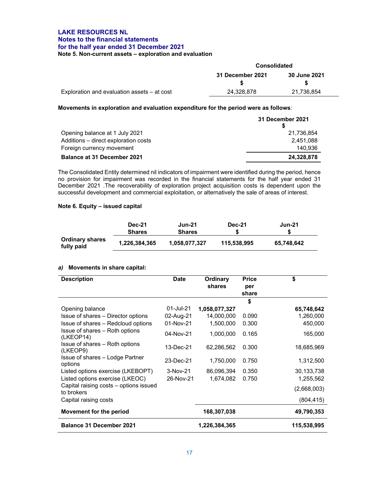#### **LAKE RESOURCES NL Notes to the financial statements for the half year ended 31 December 2021 Note 5. Non-current assets – exploration and evaluation**

|                                               | Consolidated                     |            |  |
|-----------------------------------------------|----------------------------------|------------|--|
|                                               | 31 December 2021<br>30 June 2021 |            |  |
|                                               |                                  |            |  |
| Exploration and evaluation assets $-$ at cost | 24,328,878                       | 21,736,854 |  |

**Movements in exploration and evaluation expenditure for the period were as follows**:

|                                      | 31 December 2021 |
|--------------------------------------|------------------|
| Opening balance at 1 July 2021       | 21.736.854       |
| Additions - direct exploration costs | 2.451.088        |
| Foreign currency movement            | 140.936          |
| <b>Balance at 31 December 2021</b>   | 24,328,878       |

The Consolidated Entity determined nil indicators of impairment were identified during the period, hence no provision for impairment was recorded in the financial statements for the half year ended 31 December 2021 .The recoverability of exploration project acquisition costs is dependent upon the successful development and commercial exploitation, or alternatively the sale of areas of interest.

#### **Note 6. Equity – issued capital**

|                                      | <b>Dec-21</b><br><b>Shares</b> | <b>Jun-21</b><br><b>Shares</b> | <b>Dec-21</b> | <b>Jun-21</b> |
|--------------------------------------|--------------------------------|--------------------------------|---------------|---------------|
| <b>Ordinary shares</b><br>fully paid | 1,226,384,365                  | 1,058,077,327                  | 115.538.995   | 65,748,642    |

#### *a)* **Movements in share capital:**

| <b>Description</b>                                   | <b>Date</b> | Ordinary<br>shares | <b>Price</b><br>per<br>share | \$          |
|------------------------------------------------------|-------------|--------------------|------------------------------|-------------|
|                                                      |             |                    | \$                           |             |
| Opening balance                                      | 01-Jul-21   | 1,058,077,327      |                              | 65,748,642  |
| Issue of shares – Director options                   | 02-Aug-21   | 14,000,000         | 0.090                        | 1,260,000   |
| Issue of shares – Redcloud options                   | 01-Nov-21   | 1,500,000          | 0.300                        | 450,000     |
| Issue of shares – Roth options<br>(LKEOP14)          | 04-Nov-21   | 1,000,000          | 0.165                        | 165,000     |
| Issue of shares - Roth options<br>(LKEOP9)           | 13-Dec-21   | 62,286,562         | 0.300                        | 18,685,969  |
| Issue of shares - Lodge Partner<br>options           | 23-Dec-21   | 1,750,000          | 0.750                        | 1,312,500   |
| Listed options exercise (LKEBOPT)                    | $3-Nov-21$  | 86,096,394         | 0.350                        | 30,133,738  |
| Listed options exercise (LKEOC)                      | 26-Nov-21   | 1,674,082          | 0.750                        | 1,255,562   |
| Capital raising costs – options issued<br>to brokers |             |                    |                              | (2,668,003) |
| Capital raising costs                                |             |                    |                              | (804,415)   |
| Movement for the period                              |             | 168,307,038        |                              | 49,790,353  |
| <b>Balance 31 December 2021</b>                      |             | 1,226,384,365      |                              | 115,538,995 |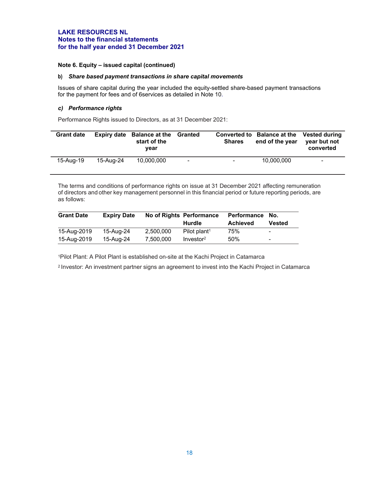#### **Note 6. Equity – issued capital (continued)**

#### **b)** *Share based payment transactions in share capital movements*

Issues of share capital during the year included the equity-settled share-based payment transactions for the payment for fees and of 6services as detailed in Note 10.

#### *c) Performance rights*

Performance Rights issued to Directors, as at 31 December 2021:

| <b>Grant date</b> | Expiry date | <b>Balance at the Granted</b><br>start of the<br>vear |                | <b>Shares</b> | Converted to Balance at the Vested during<br>end of the year | year but not<br>converted |
|-------------------|-------------|-------------------------------------------------------|----------------|---------------|--------------------------------------------------------------|---------------------------|
| 15-Aug-19         | 15-Aug-24   | 10.000.000                                            | $\blacksquare$ | ۰             | 10.000.000                                                   | -                         |

The terms and conditions of performance rights on issue at 31 December 2021 affecting remuneration of directors andother key management personnel in this financial period or future reporting periods, are as follows:

| <b>Grant Date</b> | <b>Expiry Date</b> |           | No of Rights Performance | <b>Performance</b> | No.                      |
|-------------------|--------------------|-----------|--------------------------|--------------------|--------------------------|
|                   |                    |           | Hurdle                   | <b>Achieved</b>    | Vested                   |
| 15-Aug-2019       | 15-Aug-24          | 2.500.000 | Pilot plant <sup>1</sup> | 75%                | ٠                        |
| 15-Aug-2019       | 15-Aug-24          | 7.500.000 | Investor <sup>2</sup>    | 50%                | $\overline{\phantom{a}}$ |

1Pilot Plant: A Pilot Plant is established on-site at the Kachi Project in Catamarca

2 Investor: An investment partner signs an agreement to invest into the Kachi Project in Catamarca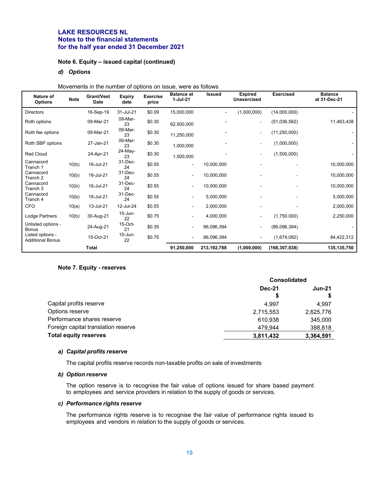#### **Note 6. Equity – issued capital (continued)**

#### *d) Options*

Movements in the number of options on issue, were as follows

| Nature of<br><b>Options</b>                 | <b>Note</b> | <b>Grant/Vest</b><br><b>Date</b> | <b>Expiry</b><br>date | <b>Exercise</b><br>price | <b>Balance</b> at<br>$1-Jul-21$ | <b>Issued</b> | <b>Expired</b><br><b>Unexercised</b> | <b>Exercised</b> | <b>Balance</b><br>at 31-Dec-21 |
|---------------------------------------------|-------------|----------------------------------|-----------------------|--------------------------|---------------------------------|---------------|--------------------------------------|------------------|--------------------------------|
| <b>Directors</b>                            |             | 16-Sep-19                        | 31-Jul-21             | \$0.09                   | 15,000,000                      |               | (1,000,000)                          | (14,000,000)     |                                |
| Roth options                                |             | 09-Mar-21                        | 09-Mar-<br>23         | \$0.30                   | 62,500,000                      |               | $\overline{\phantom{a}}$             | (51,036,562)     | 11,463,438                     |
| Roth fee options                            |             | 09-Mar-21                        | 09-Mar-<br>23         | \$0.30                   | 11,250,000                      |               | $\overline{\phantom{a}}$             | (11, 250, 000)   |                                |
| Roth SBP options                            |             | 27-Jan-21                        | 09-Mar-<br>23         | \$0.30                   | 1,000,000                       |               | $\overline{\phantom{a}}$             | (1,000,000)      |                                |
| <b>Red Cloud</b>                            |             | 24-Apr-21                        | 24-May-<br>23         | \$0.30                   | 1,500,000                       |               | $\overline{\phantom{a}}$             | (1,500,000)      |                                |
| Cannacord<br>Tranch 1                       | 10(b)       | 16-Jul-21                        | 31-Dec-<br>24         | \$0.55                   | $\qquad \qquad \blacksquare$    | 10,000,000    |                                      |                  | 10,000,000                     |
| Cannacord<br>Tranch 2                       | 10(b)       | 16-Jul-21                        | 31-Dec-<br>24         | \$0.55                   | $\blacksquare$                  | 10,000,000    |                                      |                  | 10,000,000                     |
| Cannacord<br>Tranch 3                       | 10(b)       | 16-Jul-21                        | 31-Dec-<br>24         | \$0.55                   | $\blacksquare$                  | 10,000,000    |                                      |                  | 10,000,000                     |
| Cannacord<br>Tranch 4                       | 10(b)       | 16-Jul-21                        | 31-Dec-<br>24         | \$0.55                   | $\blacksquare$                  | 5,000,000     |                                      |                  | 5,000,000                      |
| CFO                                         | 10(a)       | 13-Jul-21                        | 12-Jul-24             | \$0.55                   | $\blacksquare$                  | 2,000,000     |                                      |                  | 2,000,000                      |
| Lodge Partners                              | 10(b)       | 30-Aug-21                        | 15-Jun-<br>22         | \$0.75                   | $\blacksquare$                  | 4,000,000     |                                      | (1,750,000)      | 2,250,000                      |
| Unlisted options -<br><b>Bonus</b>          |             | 24-Aug-21                        | 15-Oct-<br>21         | \$0.35                   | $\blacksquare$                  | 86,096,394    | $\blacksquare$                       | (86,096,394)     |                                |
| Listed options -<br><b>Additional Bonus</b> |             | 15-Oct-21                        | 15-Jun-<br>22         | \$0.75                   | $\blacksquare$                  | 86,096,394    |                                      | (1,674,082)      | 84,422,312                     |
|                                             |             | Total                            |                       |                          | 91,250,000                      | 213, 192, 788 | (1,000,000)                          | (168, 307, 038)  | 135,135,750                    |

#### **Note 7. Equity - reserves**

|                                     | <b>Consolidated</b> |               |  |
|-------------------------------------|---------------------|---------------|--|
|                                     | <b>Dec-21</b>       | <b>Jun-21</b> |  |
|                                     | S                   |               |  |
| Capital profits reserve             | 4.997               | 4.997         |  |
| Options reserve                     | 2,715,553           | 2,625,776     |  |
| Performance shares reserve          | 610.938             | 345,000       |  |
| Foreign capital translation reserve | 479.944             | 388,818       |  |
| <b>Total equity reserves</b>        | 3,811,432           | 3,364,591     |  |

#### *a) Capital profits reserve*

The capital profits reserve records non-taxable profits on sale of investments

#### *b) Option reserve*

The option reserve is to recognise the fair value of options issued for share based payment to employees and service providers in relation to the supply of goods or services.

#### *c) Performance rights reserve*

The performance rights reserve is to recognise the fair value of performance rights issued to employees and vendors in relation to the supply of goods or services.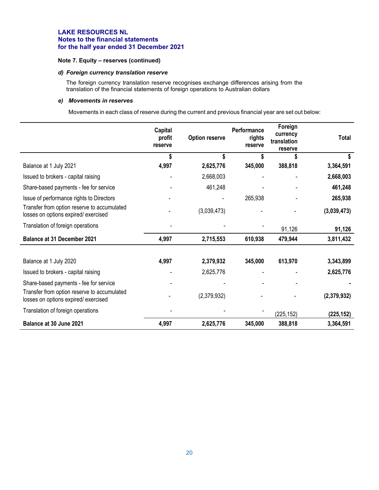#### **Note 7. Equity – reserves (continued)**

#### *d) Foreign currency translation reserve*

The foreign currency translation reserve recognises exchange differences arising from the translation of the financial statements of foreign operations to Australian dollars

#### *e) Movements in reserves*

Movements in each class of reserve during the current and previous financial year are set out below:

|                                                                                    | Capital<br>profit<br>reserve | <b>Option reserve</b> | Performance<br>rights<br>reserve | Foreign<br>currency<br>translation<br>reserve | <b>Total</b> |
|------------------------------------------------------------------------------------|------------------------------|-----------------------|----------------------------------|-----------------------------------------------|--------------|
|                                                                                    | \$                           | \$                    | S                                |                                               |              |
| Balance at 1 July 2021                                                             | 4,997                        | 2,625,776             | 345,000                          | 388,818                                       | 3,364,591    |
| Issued to brokers - capital raising                                                |                              | 2,668,003             |                                  |                                               | 2,668,003    |
| Share-based payments - fee for service                                             |                              | 461,248               |                                  |                                               | 461,248      |
| Issue of performance rights to Directors                                           |                              |                       | 265,938                          |                                               | 265,938      |
| Transfer from option reserve to accumulated<br>losses on options expired/exercised |                              | (3,039,473)           |                                  |                                               | (3,039,473)  |
| Translation of foreign operations                                                  |                              |                       |                                  | 91,126                                        | 91,126       |
| <b>Balance at 31 December 2021</b>                                                 | 4,997                        | 2,715,553             | 610,938                          | 479,944                                       | 3,811,432    |
|                                                                                    |                              |                       |                                  |                                               |              |
| Balance at 1 July 2020                                                             | 4,997                        | 2,379,932             | 345,000                          | 613,970                                       | 3,343,899    |
| Issued to brokers - capital raising                                                |                              | 2,625,776             |                                  |                                               | 2,625,776    |
| Share-based payments - fee for service                                             |                              |                       |                                  |                                               |              |
| Transfer from option reserve to accumulated<br>losses on options expired/exercised |                              | (2,379,932)           |                                  |                                               | (2,379,932)  |
| Translation of foreign operations                                                  |                              |                       |                                  | (225, 152)                                    | (225, 152)   |
| Balance at 30 June 2021                                                            | 4,997                        | 2,625,776             | 345,000                          | 388,818                                       | 3,364,591    |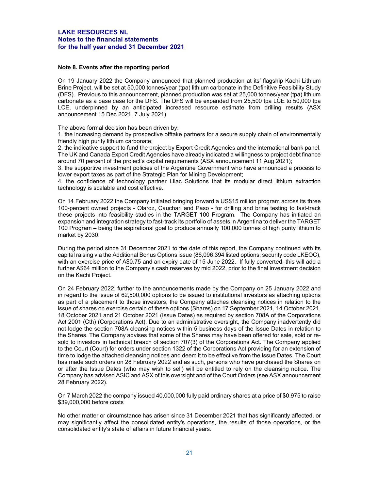#### **Note 8. Events after the reporting period**

On 19 January 2022 the Company announced that planned production at its' flagship Kachi Lithium Brine Project, will be set at 50,000 tonnes/year (tpa) lithium carbonate in the Definitive Feasibility Study (DFS). Previous to this announcement, planned production was set at 25,000 tonnes/year (tpa) lithium carbonate as a base case for the DFS. The DFS will be expanded from 25,500 tpa LCE to 50,000 tpa LCE, underpinned by an anticipated increased resource estimate from drilling results (ASX announcement 15 Dec 2021, 7 July 2021).

The above formal decision has been driven by:

1. the increasing demand by prospective offtake partners for a secure supply chain of environmentally friendly high purity lithium carbonate;

2. the indicative support to fund the project by Export Credit Agencies and the international bank panel. The UK and Canada Export Credit Agencies have already indicated a willingness to project debt finance around 70 percent of the project's capital requirements (ASX announcement 11 Aug 2021);

3. the supportive investment policies of the Argentine Government who have announced a process to lower export taxes as part of the Strategic Plan for Mining Development;

4. the confidence of technology partner Lilac Solutions that its modular direct lithium extraction technology is scalable and cost effective.

On 14 February 2022 the Company initiated bringing forward a US\$15 million program across its three 100-percent owned projects - Olaroz, Cauchari and Paso - for drilling and brine testing to fast-track these projects into feasibility studies in the TARGET 100 Program. The Company has initiated an expansion and integration strategy to fast-track its portfolio of assets in Argentina to deliver the TARGET 100 Program – being the aspirational goal to produce annually 100,000 tonnes of high purity lithium to market by 2030.

During the period since 31 December 2021 to the date of this report, the Company continued with its capital raising via the Additional Bonus Options issue (86,096,394 listed options; security code LKEOC), with an exercise price of A\$0.75 and an expiry date of 15 June 2022. If fully converted, this will add a further A\$64 million to the Company's cash reserves by mid 2022, prior to the final investment decision on the Kachi Project.

On 24 February 2022, further to the announcements made by the Company on 25 January 2022 and in regard to the issue of 62,500,000 options to be issued to institutional investors as attaching options as part of a placement to those investors, the Company attaches cleansing notices in relation to the issue of shares on exercise certain of these options (Shares) on 17 September 2021, 14 October 2021, 18 October 2021 and 21 October 2021 (Issue Dates) as required by section 708A of the Corporations Act 2001 (Cth) (Corporations Act). Due to an administrative oversight, the Company inadvertently did not lodge the section 708A cleansing notices within 5 business days of the Issue Dates in relation to the Shares. The Company advises that some of the Shares may have been offered for sale, sold or resold to investors in technical breach of section 707(3) of the Corporations Act. The Company applied to the Court (Court) for orders under section 1322 of the Corporations Act providing for an extension of time to lodge the attached cleansing notices and deem it to be effective from the Issue Dates. The Court has made such orders on 28 February 2022 and as such, persons who have purchased the Shares on or after the Issue Dates (who may wish to sell) will be entitled to rely on the cleansing notice. The Company has advised ASIC and ASX of this oversight and of the Court Orders (see ASX announcement 28 February 2022).

On 7 March 2022 the company issued 40,000,000 fully paid ordinary shares at a price of \$0.975 to raise \$39,000,000 before costs

No other matter or circumstance has arisen since 31 December 2021 that has significantly affected, or may significantly affect the consolidated entity's operations, the results of those operations, or the consolidated entity's state of affairs in future financial years.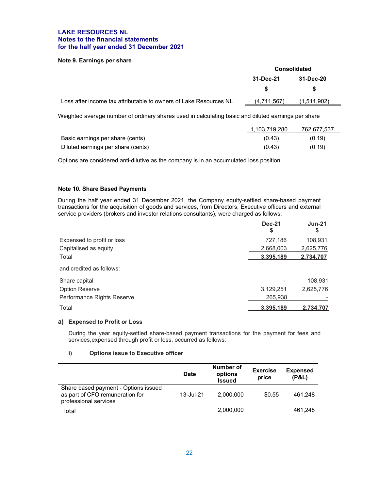#### **Note 9. Earnings per share**

|                                                                   | <b>Consolidated</b> |             |  |
|-------------------------------------------------------------------|---------------------|-------------|--|
|                                                                   | 31-Dec-21           | 31-Dec-20   |  |
|                                                                   |                     | S           |  |
| Loss after income tax attributable to owners of Lake Resources NL | (4,711,567)         | (1,511,902) |  |
|                                                                   |                     |             |  |

Weighted average number of ordinary shares used in calculating basic and diluted earnings per share

|                                    | 1,103,719,280 | 762,677,537 |
|------------------------------------|---------------|-------------|
| Basic earnings per share (cents)   | (0.43)        | (0.19)      |
| Diluted earnings per share (cents) | (0.43)        | (0.19)      |

Options are considered anti-dilutive as the company is in an accumulated loss position.

#### **Note 10. Share Based Payments**

During the half year ended 31 December 2021, the Company equity-settled share-based payment transactions for the acquisition of goods and services, from Directors, Executive officers and external service providers (brokers and investor relations consultants), were charged as follows:

|                            | <b>Dec-21</b><br>\$ | $Jun-21$<br>\$ |
|----------------------------|---------------------|----------------|
| Expensed to profit or loss | 727,186             | 108,931        |
| Capitalised as equity      | 2,668,003           | 2,625,776      |
| Total                      | 3,395,189           | 2,734,707      |
| and credited as follows:   |                     |                |
| Share capital              |                     | 108,931        |
| <b>Option Reserve</b>      | 3,129,251           | 2,625,776      |
| Performance Rights Reserve | 265,938             |                |
| Total                      | 3,395,189           | 2,734,707      |

#### **a) Expensed to Profit or Loss**

During the year equity-settled share-based payment transactions for the payment for fees and services, expensed through profit or loss, occurred as follows:

#### **i) Options issue to Executive officer**

|                                                                                                  | Date      | Number of<br>options<br><b>Issued</b> | <b>Exercise</b><br>price | <b>Expensed</b><br>(P&L) |
|--------------------------------------------------------------------------------------------------|-----------|---------------------------------------|--------------------------|--------------------------|
| Share based payment - Options issued<br>as part of CFO remuneration for<br>professional services | 13-Jul-21 | 2.000.000                             | \$0.55                   | 461.248                  |
| Total                                                                                            |           | 2,000,000                             |                          | 461,248                  |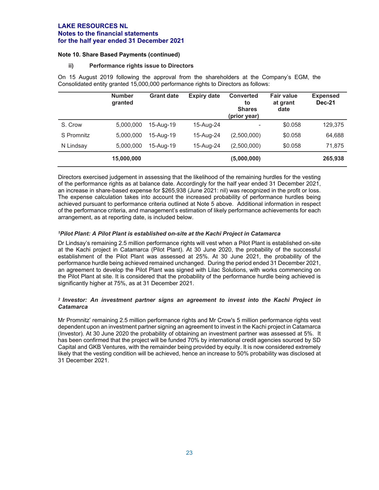#### **Note 10. Share Based Payments (continued)**

#### **ii) Performance rights issue to Directors**

On 15 August 2019 following the approval from the shareholders at the Company's EGM, the Consolidated entity granted 15,000,000 performance rights to Directors as follows:

|            | <b>Number</b><br>granted | <b>Grant date</b> | <b>Expiry date</b> | <b>Converted</b><br>to<br><b>Shares</b><br>(prior year) | <b>Fair value</b><br>at grant<br>date | <b>Expensed</b><br><b>Dec-21</b> |
|------------|--------------------------|-------------------|--------------------|---------------------------------------------------------|---------------------------------------|----------------------------------|
| S. Crow    | 5,000,000                | 15-Aug-19         | 15-Aug-24          | ۰                                                       | \$0.058                               | 129,375                          |
| S Promnitz | 5.000.000                | 15-Aug-19         | 15-Aug-24          | (2,500,000)                                             | \$0.058                               | 64,688                           |
| N Lindsay  | 5,000,000                | 15-Aug-19         | 15-Aug-24          | (2,500,000)                                             | \$0.058                               | 71.875                           |
|            | 15,000,000               |                   |                    | (5,000,000)                                             |                                       | 265,938                          |

Directors exercised judgement in assessing that the likelihood of the remaining hurdles for the vesting of the performance rights as at balance date. Accordingly for the half year ended 31 December 2021, an increase in share-based expense for \$265,938 (June 2021: nil) was recognized in the profit or loss. The expense calculation takes into account the increased probability of performance hurdles being achieved pursuant to performance criteria outlined at Note 5 above. Additional information in respect of the performance criteria, and management's estimation of likely performance achievements for each arrangement, as at reporting date, is included below.

#### *1Pilot Plant: A Pilot Plant is established on-site at the Kachi Project in Catamarca*

Dr Lindsay's remaining 2.5 million performance rights will vest when a Pilot Plant is established on-site at the Kachi project in Catamarca (Pilot Plant). At 30 June 2020, the probability of the successful establishment of the Pilot Plant was assessed at 25%. At 30 June 2021, the probability of the performance hurdle being achieved remained unchanged. During the period ended 31 December 2021, an agreement to develop the Pilot Plant was signed with Lilac Solutions, with works commencing on the Pilot Plant at site. It is considered that the probability of the performance hurdle being achieved is significantly higher at 75%, as at 31 December 2021.

#### *2 Investor: An investment partner signs an agreement to invest into the Kachi Project in Catamarca*

Mr Promnitz' remaining 2.5 million performance rights and Mr Crow's 5 million performance rights vest dependent upon an investment partner signing an agreement to invest in the Kachi project in Catamarca (Investor). At 30 June 2020 the probability of obtaining an investment partner was assessed at 5%. It has been confirmed that the project will be funded 70% by international credit agencies sourced by SD Capital and GKB Ventures, with the remainder being provided by equity. It is now considered extremely likely that the vesting condition will be achieved, hence an increase to 50% probability was disclosed at 31 December 2021.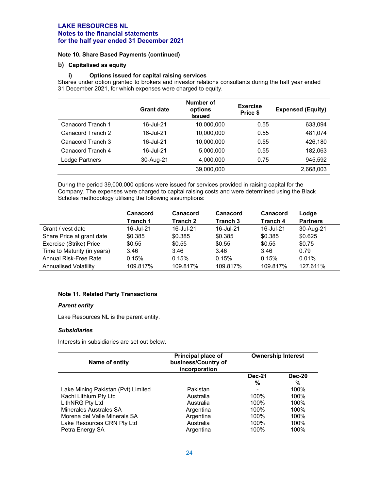#### **Note 10. Share Based Payments (continued)**

#### **b) Capitalised as equity**

#### **i) Options issued for capital raising services**

Shares under option granted to brokers and investor relations consultants during the half year ended 31 December 2021, for which expenses were charged to equity.

|                   | <b>Grant date</b> | Number of<br>options<br><b>Issued</b> | <b>Exercise</b><br>Price \$ | <b>Expensed (Equity)</b> |
|-------------------|-------------------|---------------------------------------|-----------------------------|--------------------------|
| Canacord Tranch 1 | 16-Jul-21         | 10,000,000                            | 0.55                        | 633,094                  |
| Canacord Tranch 2 | 16-Jul-21         | 10,000,000                            | 0.55                        | 481,074                  |
| Canacord Tranch 3 | 16-Jul-21         | 10,000,000                            | 0.55                        | 426,180                  |
| Canacord Tranch 4 | 16-Jul-21         | 5,000,000                             | 0.55                        | 182,063                  |
| Lodge Partners    | 30-Aug-21         | 4,000,000                             | 0.75                        | 945,592                  |
|                   |                   | 39,000,000                            |                             | 2,668,003                |

During the period 39,000,000 options were issued for services provided in raising capital for the Company. The expenses were charged to capital raising costs and were determined using the Black Scholes methodology utilising the following assumptions:

|                              | Canacord        | Canacord        | Canacord            | Canacord        | Lodge           |
|------------------------------|-----------------|-----------------|---------------------|-----------------|-----------------|
|                              | <b>Tranch 1</b> | <b>Tranch 2</b> | Tranch <sub>3</sub> | <b>Tranch 4</b> | <b>Partners</b> |
| Grant / vest date            | 16-Jul-21       | 16-Jul-21       | 16-Jul-21           | 16-Jul-21       | 30-Aug-21       |
| Share Price at grant date    | \$0.385         | \$0.385         | \$0.385             | \$0.385         | \$0.625         |
| Exercise (Strike) Price      | \$0.55          | \$0.55          | \$0.55              | \$0.55          | \$0.75          |
| Time to Maturity (in years)  | 3.46            | 3.46            | 3.46                | 3.46            | 0.79            |
| Annual Risk-Free Rate        | 0.15%           | 0.15%           | 0.15%               | 0.15%           | 0.01%           |
| <b>Annualised Volatility</b> | 109.817%        | 109.817%        | 109.817%            | 109.817%        | 127.611%        |

#### **Note 11. Related Party Transactions**

#### *Parent entity*

Lake Resources NL is the parent entity.

#### *Subsidiaries*

Interests in subsidiaries are set out below.

| Name of entity                                | Principal place of<br>business/Country of<br>incorporation | <b>Ownership Interest</b> |                    |
|-----------------------------------------------|------------------------------------------------------------|---------------------------|--------------------|
|                                               |                                                            | <b>Dec-21</b><br>%        | <b>Dec-20</b><br>% |
| Lake Mining Pakistan (Pvt) Limited            | Pakistan                                                   |                           | 100%               |
| Kachi Lithium Pty Ltd                         | Australia                                                  | 100%                      | 100%               |
| LithNRG Pty Ltd                               | Australia                                                  | 100%                      | 100%               |
| <b>Minerales Australes SA</b>                 | Argentina                                                  | 100%                      | 100%               |
| Morena del Valle Minerals SA                  | Argentina                                                  | 100%                      | 100%               |
| Lake Resources CRN Pty Ltd<br>Petra Energy SA | Australia<br>Argentina                                     | 100%<br>100%              | 100%<br>100%       |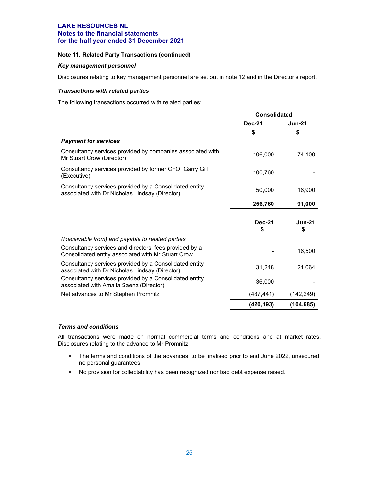#### **Note 11. Related Party Transactions (continued)**

#### *Key management personnel*

Disclosures relating to key management personnel are set out in note 12 and in the Director's report.

#### *Transactions with related parties*

The following transactions occurred with related parties:

|                                                                                                              | <b>Consolidated</b> |                     |
|--------------------------------------------------------------------------------------------------------------|---------------------|---------------------|
|                                                                                                              | <b>Dec-21</b>       | <b>Jun-21</b>       |
|                                                                                                              | \$                  | \$                  |
| <b>Payment for services</b>                                                                                  |                     |                     |
| Consultancy services provided by companies associated with<br>Mr Stuart Crow (Director)                      | 106,000             | 74,100              |
| Consultancy services provided by former CFO, Garry Gill<br>(Executive)                                       | 100,760             |                     |
| Consultancy services provided by a Consolidated entity<br>associated with Dr Nicholas Lindsay (Director)     | 50,000              | 16,900              |
|                                                                                                              | 256,760             | 91,000              |
|                                                                                                              |                     |                     |
|                                                                                                              | <b>Dec-21</b><br>S  | <b>Jun-21</b><br>\$ |
| (Receivable from) and payable to related parties                                                             |                     |                     |
| Consultancy services and directors' fees provided by a<br>Consolidated entity associated with Mr Stuart Crow |                     | 16,500              |
| Consultancy services provided by a Consolidated entity<br>associated with Dr Nicholas Lindsay (Director)     | 31,248              | 21,064              |
| Consultancy services provided by a Consolidated entity<br>associated with Amalia Saenz (Director)            | 36,000              |                     |
| Net advances to Mr Stephen Promnitz                                                                          | (487, 441)          | (142,249)           |
|                                                                                                              | (420, 193)          | (104, 685)          |

#### *Terms and conditions*

All transactions were made on normal commercial terms and conditions and at market rates. Disclosures relating to the advance to Mr Promnitz:

- The terms and conditions of the advances: to be finalised prior to end June 2022, unsecured, no personal guarantees
- No provision for collectability has been recognized nor bad debt expense raised.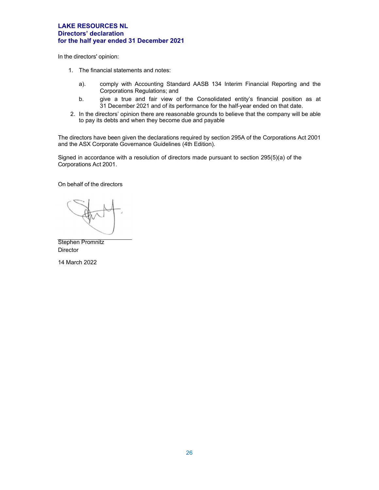#### **LAKE RESOURCES NL Directors' declaration for the half year ended 31 December 2021**

In the directors' opinion:

- 1. The financial statements and notes:
	- a). comply with Accounting Standard AASB 134 Interim Financial Reporting and the Corporations Regulations; and
	- b. give a true and fair view of the Consolidated entity's financial position as at 31 December 2021 and of its performance for the half-year ended on that date.
- 2. In the directors' opinion there are reasonable grounds to believe that the company will be able to pay its debts and when they become due and payable

The directors have been given the declarations required by section 295A of the Corporations Act 2001 and the ASX Corporate Governance Guidelines (4th Edition).

Signed in accordance with a resolution of directors made pursuant to section 295(5)(a) of the Corporations Act 2001.

On behalf of the directors

Stephen Promnitz **Director** 

14 March 2022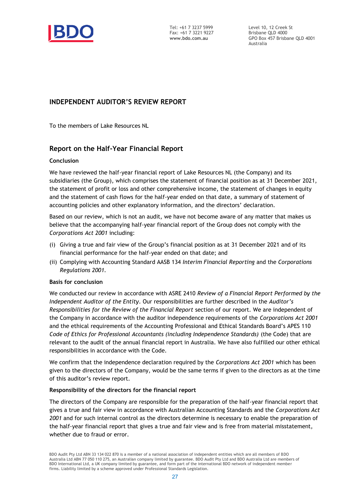

Tel: +61 7 3237 5999 Fax: +61 7 3221 9227 **www.bdo.com.au**

Level 10, 12 Creek St Brisbane QLD 4000 GPO Box 457 Brisbane QLD 4001 Australia

# **INDEPENDENT AUDITOR'S REVIEW REPORT**

To the members of Lake Resources NL

# **Report on the Half-Year Financial Report**

### **Conclusion**

We have reviewed the half-year financial report of Lake Resources NL (the Company) and its subsidiaries (the Group), which comprises the statement of financial position as at 31 December 2021, the statement of profit or loss and other comprehensive income, the statement of changes in equity and the statement of cash flows for the half-year ended on that date, a summary of statement of accounting policies and other explanatory information, and the directors' declaration.

Based on our review, which is not an audit, we have not become aware of any matter that makes us believe that the accompanying half-year financial report of the Group does not comply with the *Corporations Act 2001* including:

- (i) Giving a true and fair view of the Group's financial position as at 31 December 2021 and of its financial performance for the half-year ended on that date; and
- (ii) Complying with Accounting Standard AASB 134 *Interim Financial Reporting* and the *Corporations Regulations 2001.*

### **Basis for conclusion**

We conducted our review in accordance with ASRE 2410 *Review of a Financial Report Performed by the Independent Auditor of the Entity*. Our responsibilities are further described in the *Auditor's Responsibilities for the Review of the Financial Report* section of our report. We are independent of the Company in accordance with the auditor independence requirements of the *Corporations Act 2001* and the ethical requirements of the Accounting Professional and Ethical Standards Board's APES 110 *Code of Ethics for Professional Accountants (including Independence Standards)* (the Code) that are relevant to the audit of the annual financial report in Australia. We have also fulfilled our other ethical responsibilities in accordance with the Code.

We confirm that the independence declaration required by the *Corporations Act 2001* which has been given to the directors of the Company, would be the same terms if given to the directors as at the time of this auditor's review report.

### **Responsibility of the directors for the financial report**

The directors of the Company are responsible for the preparation of the half-year financial report that gives a true and fair view in accordance with Australian Accounting Standards and the *Corporations Act 2001* and for such internal control as the directors determine is necessary to enable the preparation of the half-year financial report that gives a true and fair view and is free from material misstatement, whether due to fraud or error.